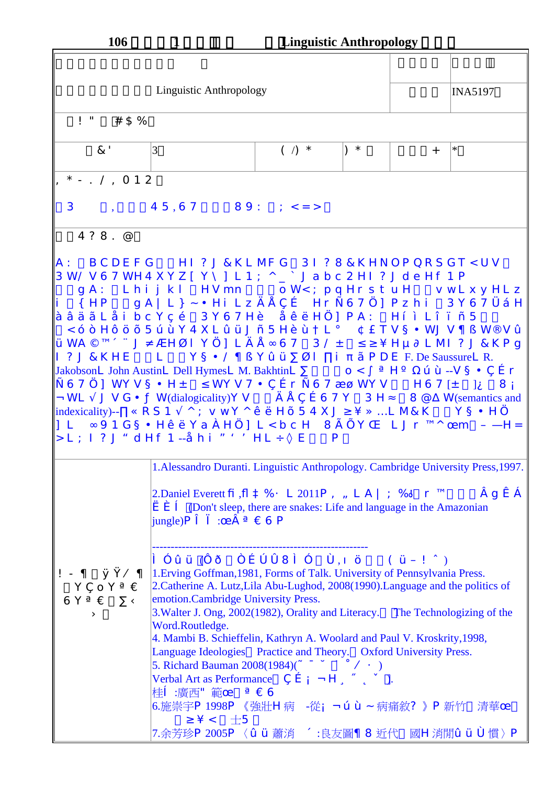| <b>106</b>                               | $\mathbf 1$                                                                                                                                                                                                                                                                                                                                                                                                                                                                                                                                                                                                                                                                                                                                                                                                                                                                                                                                                                                                                                                                                                                                                                                                                                                                                                                                                                                                                                                                                                                                             | <b>Linguistic Anthropology</b> |     |     |                       |
|------------------------------------------|---------------------------------------------------------------------------------------------------------------------------------------------------------------------------------------------------------------------------------------------------------------------------------------------------------------------------------------------------------------------------------------------------------------------------------------------------------------------------------------------------------------------------------------------------------------------------------------------------------------------------------------------------------------------------------------------------------------------------------------------------------------------------------------------------------------------------------------------------------------------------------------------------------------------------------------------------------------------------------------------------------------------------------------------------------------------------------------------------------------------------------------------------------------------------------------------------------------------------------------------------------------------------------------------------------------------------------------------------------------------------------------------------------------------------------------------------------------------------------------------------------------------------------------------------------|--------------------------------|-----|-----|-----------------------|
|                                          |                                                                                                                                                                                                                                                                                                                                                                                                                                                                                                                                                                                                                                                                                                                                                                                                                                                                                                                                                                                                                                                                                                                                                                                                                                                                                                                                                                                                                                                                                                                                                         |                                |     |     |                       |
|                                          | <b>Linguistic Anthropology</b>                                                                                                                                                                                                                                                                                                                                                                                                                                                                                                                                                                                                                                                                                                                                                                                                                                                                                                                                                                                                                                                                                                                                                                                                                                                                                                                                                                                                                                                                                                                          |                                |     |     | <b>INA5197</b>        |
| $! " # S\%$                              |                                                                                                                                                                                                                                                                                                                                                                                                                                                                                                                                                                                                                                                                                                                                                                                                                                                                                                                                                                                                                                                                                                                                                                                                                                                                                                                                                                                                                                                                                                                                                         |                                |     |     |                       |
| $\&'$                                    | 3                                                                                                                                                                                                                                                                                                                                                                                                                                                                                                                                                                                                                                                                                                                                                                                                                                                                                                                                                                                                                                                                                                                                                                                                                                                                                                                                                                                                                                                                                                                                                       | $( )$ *                        | $*$ | $+$ | $\ast$                |
| $* - . / , 012$                          |                                                                                                                                                                                                                                                                                                                                                                                                                                                                                                                                                                                                                                                                                                                                                                                                                                                                                                                                                                                                                                                                                                                                                                                                                                                                                                                                                                                                                                                                                                                                                         |                                |     |     |                       |
|                                          | $3, 45,67$ $89: ; < =>$                                                                                                                                                                                                                                                                                                                                                                                                                                                                                                                                                                                                                                                                                                                                                                                                                                                                                                                                                                                                                                                                                                                                                                                                                                                                                                                                                                                                                                                                                                                                 |                                |     |     |                       |
| $4?8.$ @                                 |                                                                                                                                                                                                                                                                                                                                                                                                                                                                                                                                                                                                                                                                                                                                                                                                                                                                                                                                                                                                                                                                                                                                                                                                                                                                                                                                                                                                                                                                                                                                                         |                                |     |     |                       |
|                                          | $\ i\ $ {HP gA   L } ~ $\cdot$ Hi Lz $\in \cdot$ , f Hr " 67 ] Pz hi 3Y67†‡H<br> ^ ‰Š‹LŒi bc Y•Ž 3Y67H• Œ•' H…] PA: H'"L"•-5<br>$\lambda <$ $ \lambda$ $H^{m}$ š > 5œ• Y4XL ž ŸJ – 5H• • L <sub>j</sub> c £ TV ¤ ¥WJ V   § W · Vž<br>$\forall$ WA© <sup>a</sup> «¬J- ®H <sup>-</sup> l Y] L $\in$ • ° 67 3/ $\pm$ <sup>23</sup> 'Hµ¶ L MI ? J & K P g<br>$\begin{bmatrix} 1 & 2 & J & 8K \end{bmatrix}$ L $\begin{bmatrix} Y & \alpha \ \end{bmatrix}$ $\begin{bmatrix} Y & \alpha \ \end{bmatrix}$ $\begin{bmatrix} Y & \alpha \ \end{bmatrix}$ $\begin{bmatrix} Y & \alpha \ \end{bmatrix}$ $\begin{bmatrix} Y & \alpha \ \end{bmatrix}$ $\begin{bmatrix} Y & \alpha \ \end{bmatrix}$ $\begin{bmatrix} Y & \alpha \ \end{bmatrix}$ $\begin{bmatrix} Y & \alpha \ \end{bmatrix}$ $\begin{bmatrix} Y & \alpha \ \end{bmatrix}$ $\begin{bmatrix} Y & \alpha \ \$<br><b>JakobsonL</b> John AustinL Dell HymesL M. BakhtinL $\cdot$ 0 < <sup>0</sup> » H $\frac{1}{4}$ $\frac{1}{2}$ œ • --V $\alpha \geq \pi$ , f r<br>"67…] WYV¤¥H± <sup>2</sup> WYV7¥, ƒr "67¾¿WYV   H67[± ]À  8Á<br>$\hat{A}$ WL $\tilde{A}$ J $V$ G $\cong$ $\ddot{A}$ W(dialogicality) Y $V$ $\qquad \in \bullet$ , $f$ 6 7 $\check{Y}$ 3 HÅ 8 @ ÆW(semantics and<br> indexicality)--, $\angle$ CRS 1 A <sup>^</sup> ; vwY^ • 'H > 54XJ <sup>3</sup> ' EELM&K Y¤¥H<br>]] Lʰ 91G¤¥H•′ YaËH] L <bch 8ì="" ljr<sup="" yî="" í="">a^Ï m ĐÑH=<br/> &gt; L ; I ? J Òd Hf 1 -−Œh i ÓÔÕHL Ö× E P<br/>1. Alessandro Duranti. Linguistic Anthropology. Cambridge University Press, 1997.</bch> |                                |     |     |                       |
| $! -  $ ØÙÚ<br>Y, oY» Û<br>6Y»Û · Ü<br>Ý | 2. Daniel Everett P, $\beta$ à % á L 2011 P â ã L A   ; ä ! r <sup>a</sup><br>è é ê (Don't sleep, there are snakes: Life and language in the Amazonian<br>$\text{jangle})$ Pëì: $\ddot{I}$ a » $\hat{U}$ 6 P<br>$\hat{i}$ $\hat{i}$ $\hat{Z}$ $\hat{Y}$ $(\hat{i}$ $\hat{O}$ $\hat{n}$ $\hat{f}$ $\hat{o}$ $\hat{o}$ $\hat{i}$ $\hat{o}$ $\hat{o}$ $\hat{S}$ $(\hat{Y}D \hat{U} \hat{o})$<br>1. Erving Goffman, 1981, Forms of Talk. University of Pennsylvania Press.<br>2. Catherine A. Lutz, Lila Abu-Lughod, 2008(1990). Language and the politics of<br>emotion.Cambridge University Press.<br>3. Walter J. Ong, 2002(1982), Orality and Literacy. The Technologizing of the<br>Word.Routledge.<br>4. Mambi B. Schieffelin, Kathryn A. Woolard and Paul V. Kroskrity, 1998,<br>Language Ideologies Practice and Theory. Oxford University Press.<br>5. Richard Bauman $2008(1984)(\div \emptyset \$ ú ú Ú Á )<br>Verbal Art as Performance , $f \hat{A} \hat{A} H \ddot{u} \circ \dot{b} \ddot{y}$ ).<br>桂ê :廣西"範 $\overline{I} \rightarrow \overline{U}6$<br>6.施崇宇P 1998P 《強壯H病 -從Áœ• ~ 病痛敘? 》P 新竹 清華Ï<br>$3' < +5$<br>7.余芳珍P2005P〈ž Ÿ蕭消 « :良友圖¦ 8近代 國H消閒ž Ÿô 慣〉P                                                                                                                                                                                                                                                                                                                                                                                 |                                |     |     | $\dot{a}$ g $\dot{a}$ |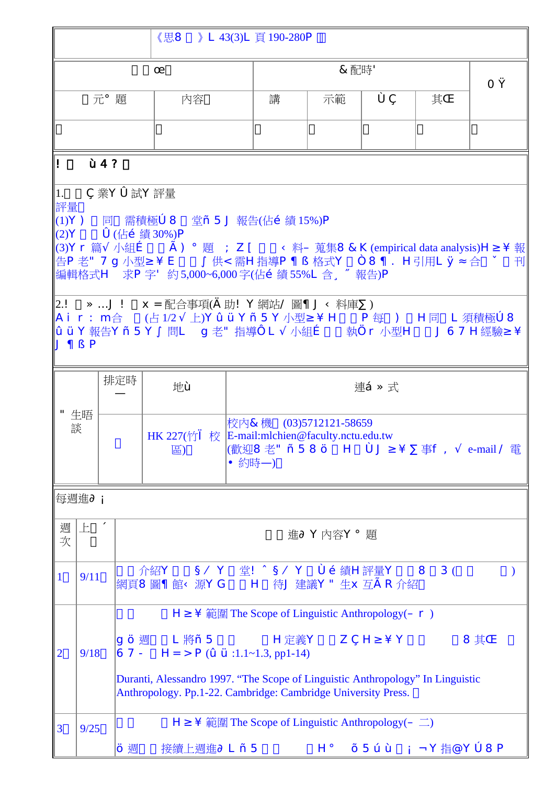|              |              |   |                                                                                                                                                                                                                                                                                                |                                                                                                                                                                                                                                                                                                                                                                                                                                                                                                                                | 《思8 》 L 43(3)L 頁 190-280P                                                                                                      |             |    |    |   |
|--------------|--------------|---|------------------------------------------------------------------------------------------------------------------------------------------------------------------------------------------------------------------------------------------------------------------------------------------------|--------------------------------------------------------------------------------------------------------------------------------------------------------------------------------------------------------------------------------------------------------------------------------------------------------------------------------------------------------------------------------------------------------------------------------------------------------------------------------------------------------------------------------|--------------------------------------------------------------------------------------------------------------------------------|-------------|----|----|---|
| Ï            |              |   |                                                                                                                                                                                                                                                                                                | &配時'                                                                                                                                                                                                                                                                                                                                                                                                                                                                                                                           |                                                                                                                                |             |    |    |   |
| 元j題          |              |   | 内容                                                                                                                                                                                                                                                                                             | 講                                                                                                                                                                                                                                                                                                                                                                                                                                                                                                                              | 示範                                                                                                                             | Ô,          | 其Î | ОÙ |   |
|              |              |   |                                                                                                                                                                                                                                                                                                |                                                                                                                                                                                                                                                                                                                                                                                                                                                                                                                                |                                                                                                                                |             |    |    |   |
| $\bf{L}$     | $\cdot$ 4?   |   |                                                                                                                                                                                                                                                                                                |                                                                                                                                                                                                                                                                                                                                                                                                                                                                                                                                |                                                                                                                                |             |    |    |   |
| 1.<br>評量     | $J + S P$    |   | ,業Yó試Y評量                                                                                                                                                                                                                                                                                       | (1)Y) 同 需積極ò 8 堂− 5 J 報告(佔Ž 績 15%)P<br> (2)Y   ó (佔Ž 績 30%)P<br>$\ $ (3) $\rm{Yr}$ 篇 $\rm{\tilde{A}}$ 小組 $f$ $\qquad$ $\rm{\tilde{l}}$ ) $\,$ i 題 $\rm{\tilde{E}}$ ; Z [ $\qquad$ Ü 料 $\rm{D}$ 蒐集8 &K (empirical data analysis) $\rm{H}^{\rm{s}}$ ´ 報 $\ $<br> 告P 老" 7g 小型 <sup>з ^</sup> E  ° 供< 需H指導P ¦ S 格式Y ñ 8 ¦ .H引用L ØÅ合 ÿ<br> 2.!   È É J !   x = 配合事項(€ 助! Y網站/ 圖 ¦ J Ü 料庫・ )<br>  Ai r : m合   (占1/2A上)Yž ŸY– 5Y小型 <sup>з .</sup> H  P每 ) H同 L須積極ò8<br> ž ŸY報告Y– 5Y° 問LÊg 老" 指導ï LÃ小組ƒ  執r 小型H  J67H經驗 <sup>з</sup> ´ |                                                                                                                                |             |    |    | 刊 |
|              | "生晤<br>談     |   | 排定時<br>Ñ                                                                                                                                                                                                                                                                                       | 地•                                                                                                                                                                                                                                                                                                                                                                                                                                                                                                                             |                                                                                                                                | 連‡ 已式       |    |    |   |
|              |              |   |                                                                                                                                                                                                                                                                                                | HK 227(竹i 校 E-mail:mlchien@faculty.nctu.edu.tw<br>區)                                                                                                                                                                                                                                                                                                                                                                                                                                                                           | 校內&機 (03)5712121-58659<br> (歡迎8老" - 58š H ôJ <sup>3</sup> ´ · 事f, Ãe-mail / 電<br>¥約時N)                                         |             |    |    |   |
|              | 每週進¶ Á       |   |                                                                                                                                                                                                                                                                                                |                                                                                                                                                                                                                                                                                                                                                                                                                                                                                                                                |                                                                                                                                |             |    |    |   |
| 週<br>次       | $\mathbb{R}$ | ≪ |                                                                                                                                                                                                                                                                                                |                                                                                                                                                                                                                                                                                                                                                                                                                                                                                                                                |                                                                                                                                | 進¶ Y内容Y ; 題 |    |    |   |
| $\mathbf{1}$ | 9/11         |   |                                                                                                                                                                                                                                                                                                | 介紹Y ¤ÚY 堂! ö ¤ÚY ôŽ績H評量Y 8 3(<br>網頁8圖   館Ü源YG H 待J 建議Y"生x 互I R 介紹                                                                                                                                                                                                                                                                                                                                                                                                                                                              |                                                                                                                                |             |    |    |   |
| 2            | 9/18         |   | $H^3$ $\hat{m}$ 範圍 The Scope of Linguistic Anthropology( $Dr$ )<br>$8 \nexists$<br>67 - H = > $P(\check{z} \check{Y}:1.1 \sim 1.3, pp1-14)$<br>Duranti, Alessandro 1997. "The Scope of Linguistic Anthropology" In Linguistic<br>Anthropology. Pp.1-22. Cambridge: Cambridge University Press. |                                                                                                                                                                                                                                                                                                                                                                                                                                                                                                                                |                                                                                                                                |             |    |    |   |
| 3            | 9/25         |   | Š 週                                                                                                                                                                                                                                                                                            |                                                                                                                                                                                                                                                                                                                                                                                                                                                                                                                                | $H^3$ $\hat{m}$ 範圍 The Scope of Linguistic Anthropology( $D \Box$ )<br>接續上週進¶L-5 $H_i \rightarrow 5$ œ• $\widehat{AAY}$ 指@Yo8P |             |    |    |   |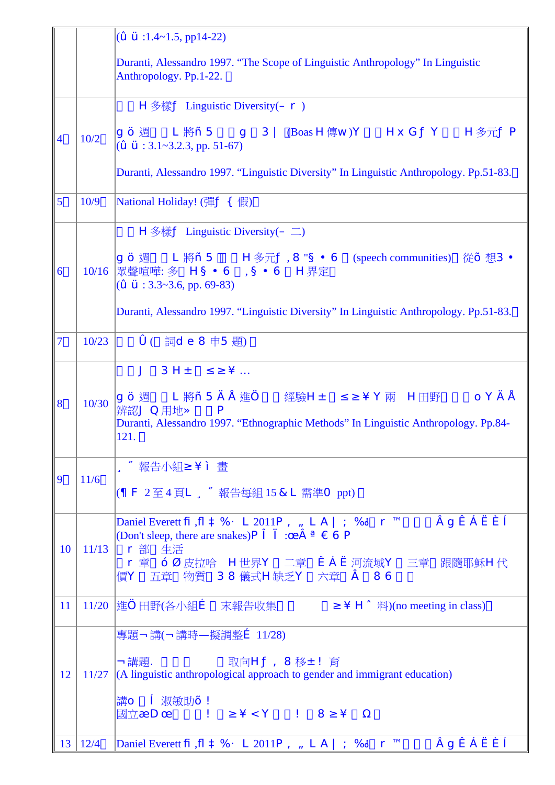|                         |                | $(\check{z}\check{Y}$ :1.4~1.5, pp14-22)                                                                                                                                                                                                                                                                                                                                 |
|-------------------------|----------------|--------------------------------------------------------------------------------------------------------------------------------------------------------------------------------------------------------------------------------------------------------------------------------------------------------------------------------------------------------------------------|
|                         |                | Duranti, Alessandro 1997. "The Scope of Linguistic Anthropology" In Linguistic<br>Anthropology. Pp.1-22.                                                                                                                                                                                                                                                                 |
|                         |                | $H \circledast$ 樣 $\mathbf{\hat{A}}$ Linguistic Diversity( $\mathbf{Dr}$ )                                                                                                                                                                                                                                                                                               |
| $\overline{\mathbf{4}}$ | 10/2           | g š 週       L 將− 5       g     3     (Boas H傳w)Y        Hx GÄY       H多元ÄP<br> (ž Ÿ : 3.1~3.2.3, pp. 51-67)                                                                                                                                                                                                                                                              |
|                         |                | Duranti, Alessandro 1997. "Linguistic Diversity" In Linguistic Anthropology. Pp.51-83.                                                                                                                                                                                                                                                                                   |
| 5                       | 10/9           | National Holiday! (彈A { 假)                                                                                                                                                                                                                                                                                                                                               |
|                         |                | <b>H</b> 多樣 $\AA$ Linguistic Diversity( $D \square$ )                                                                                                                                                                                                                                                                                                                    |
| 6                       | 10/16          | g š 週      L 將 – 5       H多元Ä, 8 "¤ ¥ 6    (speech communities)   從> 想3 •<br>眾聲喧嘩: 多   H ¤ ¥ 6   , ¤ ¥ 6   H界定<br>$(\check{z}\check{Y}$ : 3.3~3.6, pp. 69-83)                                                                                                                                                                                                            |
|                         |                | Duranti, Alessandro 1997. "Linguistic Diversity" In Linguistic Anthropology. Pp.51-83.                                                                                                                                                                                                                                                                                   |
| 7                       | 10/23          | $\dot{\rm o}$ ( 詞 $\rm d$ e $\rm 8$ 申5題)                                                                                                                                                                                                                                                                                                                                 |
|                         |                | $3H±$ 23 $\angle$ É<br>$\mathbf{J}$                                                                                                                                                                                                                                                                                                                                      |
| 8                       | 10/30          | Duranti, Alessandro 1997. "Ethnographic Methods" In Linguistic Anthropology. Pp.84-<br>121.                                                                                                                                                                                                                                                                              |
|                         |                | üý報告小組 <sup>3</sup> ′ " 畫                                                                                                                                                                                                                                                                                                                                                |
| 9                       | 11/6           | (  F 2至4頁L ü ý 報告每組 15 &L 需準O ppt)                                                                                                                                                                                                                                                                                                                                       |
| 10                      | 11/13          | Daniel Everett $\overline{P}$ , $\overline{B}$ à % á L 2011 $\overline{P}$ â $\overline{A}$ L $\overline{A}$   ; $\overline{a}$ ! $\overline{r}$ $\overline{a}$<br>àgæçèéê<br>(Don't sleep, there are snakes) $P \ddot{e}$ i : $\ddot{I}$ $\dot{a} \times \hat{U} \odot P$<br>■r 部 生活<br>r 章 一 <sup>-</sup> 皮拉哈 H世界Y 二章 æç è 河流域Y 三章 跟隨耶穌H代<br>價Y 五章 物質 38儀式H缺乏Y 六章 a 86 |
| 11                      |                | 11/20  進…田野(各小組f 末報告收集 3 Hö 料)(no meeting in class)                                                                                                                                                                                                                                                                                                                      |
|                         |                | 專題Â講(Â講時Ñ擬調整 <i>f</i> 11/28)                                                                                                                                                                                                                                                                                                                                             |
| 12                      | 11/27          | $\rm \hat{A}$ 講題.<br>取向HÄâ 8移±!育<br>$(A)$ linguistic anthropological approach to gender and immigrant education)                                                                                                                                                                                                                                                         |
|                         |                | 講o e 淑敏助> !<br><sub> 明</sub> ∪ ヒ <sub>小(球以)</sub> , :<br> 國立¾DÏ ! <sup>з ´</sup> < Y ! 8 <sup>з ´</sup> ½                                                                                                                                                                                                                                                                |
|                         | $13 \mid 12/4$ | Daniel Everett P, $\beta$ à % á L 2011 P â ã L A $ $ ; ä! r <sup>a</sup><br>agæçèéê                                                                                                                                                                                                                                                                                      |